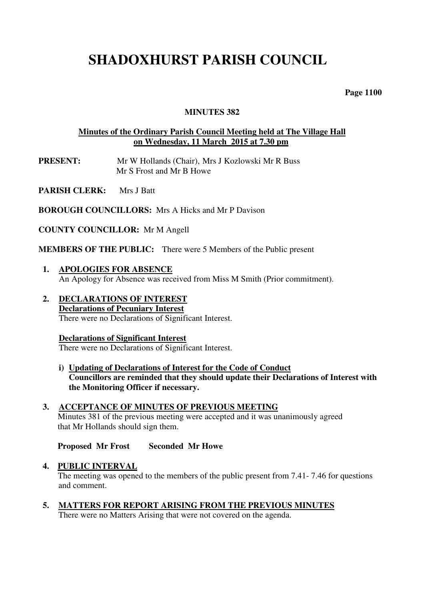# **SHADOXHURST PARISH COUNCIL**

 **Page 1100** 

# **MINUTES 382**

# **Minutes of the Ordinary Parish Council Meeting held at The Village Hall on Wednesday, 11 March 2015 at 7.30 pm**

- **PRESENT:** Mr W Hollands (Chair), Mrs J Kozlowski Mr R Buss Mr S Frost and Mr B Howe
- **PARISH CLERK:** Mrs J Batt

**BOROUGH COUNCILLORS:** Mrs A Hicks and Mr P Davison

**COUNTY COUNCILLOR:** Mr M Angell

**MEMBERS OF THE PUBLIC:** There were 5 Members of the Public present

- **1. APOLOGIES FOR ABSENCE**  An Apology for Absence was received from Miss M Smith (Prior commitment).
- **2. DECLARATIONS OF INTEREST Declarations of Pecuniary Interest**  There were no Declarations of Significant Interest.

# **Declarations of Significant Interest**

There were no Declarations of Significant Interest.

- **i) Updating of Declarations of Interest for the Code of Conduct Councillors are reminded that they should update their Declarations of Interest with the Monitoring Officer if necessary.**
- **3. ACCEPTANCE OF MINUTES OF PREVIOUS MEETING**  Minutes 381 of the previous meeting were accepted and it was unanimously agreed that Mr Hollands should sign them.

**Proposed Mr Frost Seconded Mr Howe** 

#### **4. PUBLIC INTERVAL**

 The meeting was opened to the members of the public present from 7.41- 7.46 for questions and comment.

 **5. MATTERS FOR REPORT ARISING FROM THE PREVIOUS MINUTES**  There were no Matters Arising that were not covered on the agenda.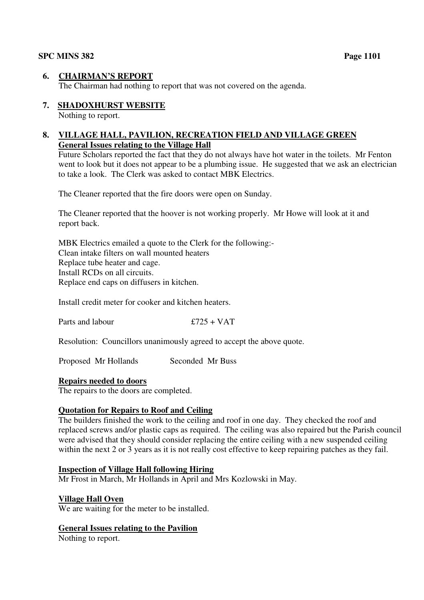# **6. CHAIRMAN'S REPORT**

The Chairman had nothing to report that was not covered on the agenda.

# **7. SHADOXHURST WEBSITE**

Nothing to report.

# **8. VILLAGE HALL, PAVILION, RECREATION FIELD AND VILLAGE GREEN General Issues relating to the Village Hall**

Future Scholars reported the fact that they do not always have hot water in the toilets. Mr Fenton went to look but it does not appear to be a plumbing issue. He suggested that we ask an electrician to take a look. The Clerk was asked to contact MBK Electrics.

The Cleaner reported that the fire doors were open on Sunday.

The Cleaner reported that the hoover is not working properly. Mr Howe will look at it and report back.

MBK Electrics emailed a quote to the Clerk for the following:- Clean intake filters on wall mounted heaters Replace tube heater and cage. Install RCDs on all circuits. Replace end caps on diffusers in kitchen.

Install credit meter for cooker and kitchen heaters.

Parts and labour  $£725 + VAT$ 

Resolution: Councillors unanimously agreed to accept the above quote.

Proposed Mr Hollands Seconded Mr Buss

# **Repairs needed to doors**

The repairs to the doors are completed.

# **Quotation for Repairs to Roof and Ceiling**

The builders finished the work to the ceiling and roof in one day. They checked the roof and replaced screws and/or plastic caps as required. The ceiling was also repaired but the Parish council were advised that they should consider replacing the entire ceiling with a new suspended ceiling within the next 2 or 3 years as it is not really cost effective to keep repairing patches as they fail.

# **Inspection of Village Hall following Hiring**

Mr Frost in March, Mr Hollands in April and Mrs Kozlowski in May.

# **Village Hall Oven**

We are waiting for the meter to be installed.

# **General Issues relating to the Pavilion**

Nothing to report.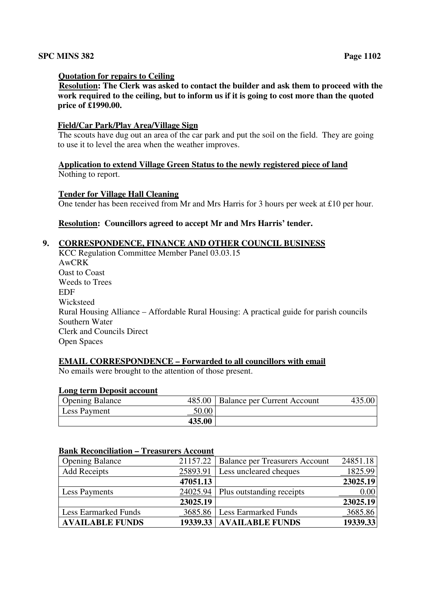#### **Quotation for repairs to Ceiling**

**Resolution: The Clerk was asked to contact the builder and ask them to proceed with the work required to the ceiling, but to inform us if it is going to cost more than the quoted price of £1990.00.** 

#### **Field/Car Park/Play Area/Village Sign**

 The scouts have dug out an area of the car park and put the soil on the field. They are going to use it to level the area when the weather improves.

#### **Application to extend Village Green Status to the newly registered piece of land**  Nothing to report.

#### **Tender for Village Hall Cleaning**

One tender has been received from Mr and Mrs Harris for 3 hours per week at £10 per hour.

# **Resolution: Councillors agreed to accept Mr and Mrs Harris' tender.**

#### **9. CORRESPONDENCE, FINANCE AND OTHER COUNCIL BUSINESS**

KCC Regulation Committee Member Panel 03.03.15 AwCRK Oast to Coast Weeds to Trees EDF Wicksteed Rural Housing Alliance – Affordable Rural Housing: A practical guide for parish councils Southern Water Clerk and Councils Direct Open Spaces

# **EMAIL CORRESPONDENCE – Forwarded to all councillors with email**

No emails were brought to the attention of those present.

#### **Long term Deposit account**

| <b>Opening Balance</b> | 485.00 | Balance per Current Account | .00 <sub>1</sub> |
|------------------------|--------|-----------------------------|------------------|
| Less Payment           | 50.00  |                             |                  |
|                        | 435.00 |                             |                  |

# **Bank Reconciliation – Treasurers Account**

| <b>Opening Balance</b>      |          | 21157.22   Balance per Treasurers Account | 24851.18 |
|-----------------------------|----------|-------------------------------------------|----------|
| <b>Add Receipts</b>         | 25893.91 | <b>Less uncleared cheques</b>             | 1825.99  |
|                             | 47051.13 |                                           | 23025.19 |
| Less Payments               | 24025.94 | Plus outstanding receipts                 | 0.00     |
|                             | 23025.19 |                                           | 23025.19 |
| <b>Less Earmarked Funds</b> | 3685.86  | <b>Less Earmarked Funds</b>               | 3685.86  |
| <b>AVAILABLE FUNDS</b>      |          | 19339.33   AVAILABLE FUNDS                | 19339.33 |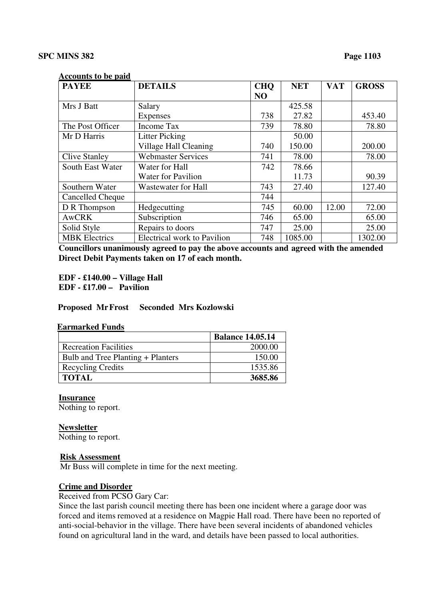#### **Accounts to be paid**

| <b>PAYEE</b>         | <b>DETAILS</b>                     | <b>CHQ</b>     | <b>NET</b> | <b>VAT</b> | <b>GROSS</b> |
|----------------------|------------------------------------|----------------|------------|------------|--------------|
|                      |                                    | N <sub>O</sub> |            |            |              |
| Mrs J Batt           | Salary                             |                | 425.58     |            |              |
|                      | Expenses                           | 738            | 27.82      |            | 453.40       |
| The Post Officer     | Income Tax                         | 739            | 78.80      |            | 78.80        |
| Mr D Harris          | <b>Litter Picking</b>              |                | 50.00      |            |              |
|                      | Village Hall Cleaning              | 740            | 150.00     |            | 200.00       |
| <b>Clive Stanley</b> | <b>Webmaster Services</b>          | 741            | 78.00      |            | 78.00        |
| South East Water     | Water for Hall                     | 742            | 78.66      |            |              |
|                      | <b>Water for Pavilion</b>          |                | 11.73      |            | 90.39        |
| Southern Water       | Wastewater for Hall                | 743            | 27.40      |            | 127.40       |
| Cancelled Cheque     |                                    | 744            |            |            |              |
| D R Thompson         | Hedgecutting                       | 745            | 60.00      | 12.00      | 72.00        |
| <b>AwCRK</b>         | Subscription                       | 746            | 65.00      |            | 65.00        |
| Solid Style          | Repairs to doors                   | 747            | 25.00      |            | 25.00        |
| <b>MBK</b> Electrics | <b>Electrical work to Pavilion</b> | 748            | 1085.00    |            | 1302.00      |

**Councillors unanimously agreed to pay the above accounts and agreed with the amended Direct Debit Payments taken on 17 of each month.** 

 **EDF - £140.00 – Village Hall EDF - £17.00 – Pavilion** 

 **Proposed Mr Frost Seconded Mrs Kozlowski** 

#### **Earmarked Funds**

|                                   | <b>Balance 14.05.14</b> |
|-----------------------------------|-------------------------|
| <b>Recreation Facilities</b>      | 2000.00                 |
| Bulb and Tree Planting + Planters | 150.00                  |
| <b>Recycling Credits</b>          | 1535.86                 |
| <b>TOTAL</b>                      | 3685.86                 |

#### **Insurance**

Nothing to report.

### **Newsletter**

Nothing to report.

#### **Risk Assessment**

Mr Buss will complete in time for the next meeting.

#### **Crime and Disorder**

Received from PCSO Gary Car:

Since the last parish council meeting there has been one incident where a garage door was forced and items removed at a residence on Magpie Hall road. There have been no reported of anti-social-behavior in the village. There have been several incidents of abandoned vehicles found on agricultural land in the ward, and details have been passed to local authorities.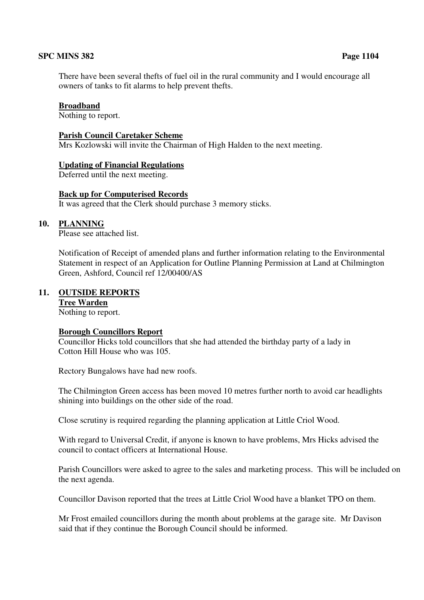There have been several thefts of fuel oil in the rural community and I would encourage all owners of tanks to fit alarms to help prevent thefts.

#### **Broadband**

Nothing to report.

#### **Parish Council Caretaker Scheme**

Mrs Kozlowski will invite the Chairman of High Halden to the next meeting.

#### **Updating of Financial Regulations**

Deferred until the next meeting.

#### **Back up for Computerised Records**

It was agreed that the Clerk should purchase 3 memory sticks.

# **10. PLANNING**

Please see attached list.

Notification of Receipt of amended plans and further information relating to the Environmental Statement in respect of an Application for Outline Planning Permission at Land at Chilmington Green, Ashford, Council ref 12/00400/AS

# **11. OUTSIDE REPORTS**

# **Tree Warden**

Nothing to report.

#### **Borough Councillors Report**

 Councillor Hicks told councillors that she had attended the birthday party of a lady in Cotton Hill House who was 105.

Rectory Bungalows have had new roofs.

 The Chilmington Green access has been moved 10 metres further north to avoid car headlights shining into buildings on the other side of the road.

Close scrutiny is required regarding the planning application at Little Criol Wood.

 With regard to Universal Credit, if anyone is known to have problems, Mrs Hicks advised the council to contact officers at International House.

Parish Councillors were asked to agree to the sales and marketing process. This will be included on the next agenda.

Councillor Davison reported that the trees at Little Criol Wood have a blanket TPO on them.

 Mr Frost emailed councillors during the month about problems at the garage site. Mr Davison said that if they continue the Borough Council should be informed.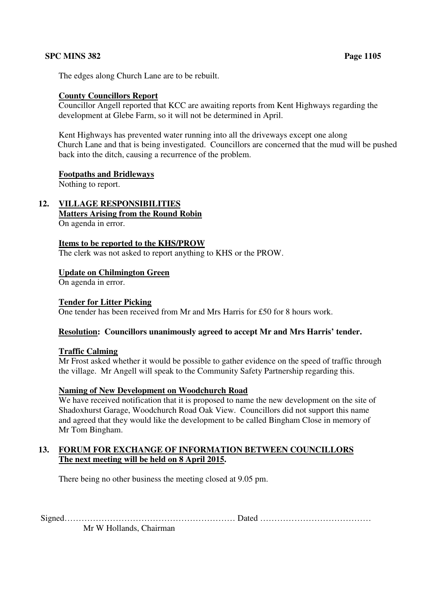The edges along Church Lane are to be rebuilt.

# **County Councillors Report**

 Councillor Angell reported that KCC are awaiting reports from Kent Highways regarding the development at Glebe Farm, so it will not be determined in April.

 Kent Highways has prevented water running into all the driveways except one along Church Lane and that is being investigated. Councillors are concerned that the mud will be pushed back into the ditch, causing a recurrence of the problem.

# **Footpaths and Bridleways**

Nothing to report.

# **12. VILLAGE RESPONSIBILITIES**

**Matters Arising from the Round Robin** 

On agenda in error.

# **Items to be reported to the KHS/PROW**

The clerk was not asked to report anything to KHS or the PROW.

# **Update on Chilmington Green**

On agenda in error.

# **Tender for Litter Picking**

One tender has been received from Mr and Mrs Harris for £50 for 8 hours work.

# **Resolution: Councillors unanimously agreed to accept Mr and Mrs Harris' tender.**

# **Traffic Calming**

 Mr Frost asked whether it would be possible to gather evidence on the speed of traffic through the village. Mr Angell will speak to the Community Safety Partnership regarding this.

# **Naming of New Development on Woodchurch Road**

We have received notification that it is proposed to name the new development on the site of Shadoxhurst Garage, Woodchurch Road Oak View. Councillors did not support this name and agreed that they would like the development to be called Bingham Close in memory of Mr Tom Bingham.

# **13. FORUM FOR EXCHANGE OF INFORMATION BETWEEN COUNCILLORS The next meeting will be held on 8 April 2015.**

There being no other business the meeting closed at 9.05 pm.

Signed…………………………………………………… Dated …………………………………

Mr W Hollands, Chairman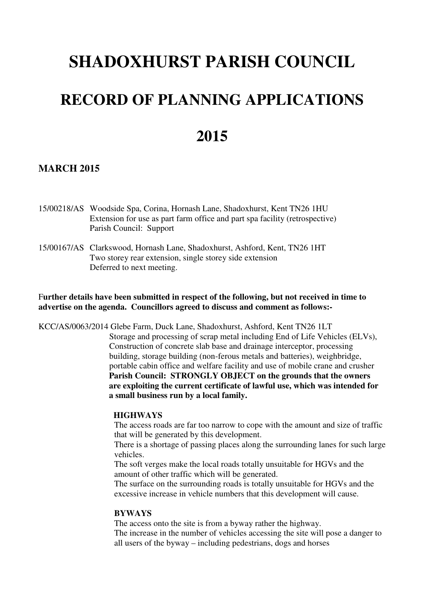# **SHADOXHURST PARISH COUNCIL**

# **RECORD OF PLANNING APPLICATIONS**

# **2015**

# **MARCH 2015**

- 15/00218/AS Woodside Spa, Corina, Hornash Lane, Shadoxhurst, Kent TN26 1HU Extension for use as part farm office and part spa facility (retrospective) Parish Council: Support
- 15/00167/AS Clarkswood, Hornash Lane, Shadoxhurst, Ashford, Kent, TN26 1HT Two storey rear extension, single storey side extension Deferred to next meeting.

# F**urther details have been submitted in respect of the following, but not received in time to advertise on the agenda. Councillors agreed to discuss and comment as follows:-**

KCC/AS/0063/2014 Glebe Farm, Duck Lane, Shadoxhurst, Ashford, Kent TN26 1LT

 Storage and processing of scrap metal including End of Life Vehicles (ELVs), Construction of concrete slab base and drainage interceptor, processing building, storage building (non-ferous metals and batteries), weighbridge, portable cabin office and welfare facility and use of mobile crane and crusher **Parish Council: STRONGLY OBJECT on the grounds that the owners are exploiting the current certificate of lawful use, which was intended for a small business run by a local family.** 

#### **HIGHWAYS**

The access roads are far too narrow to cope with the amount and size of traffic that will be generated by this development.

 There is a shortage of passing places along the surrounding lanes for such large vehicles.

The soft verges make the local roads totally unsuitable for HGVs and the amount of other traffic which will be generated.

 The surface on the surrounding roads is totally unsuitable for HGVs and the excessive increase in vehicle numbers that this development will cause.

#### **BYWAYS**

The access onto the site is from a byway rather the highway. The increase in the number of vehicles accessing the site will pose a danger to all users of the byway – including pedestrians, dogs and horses